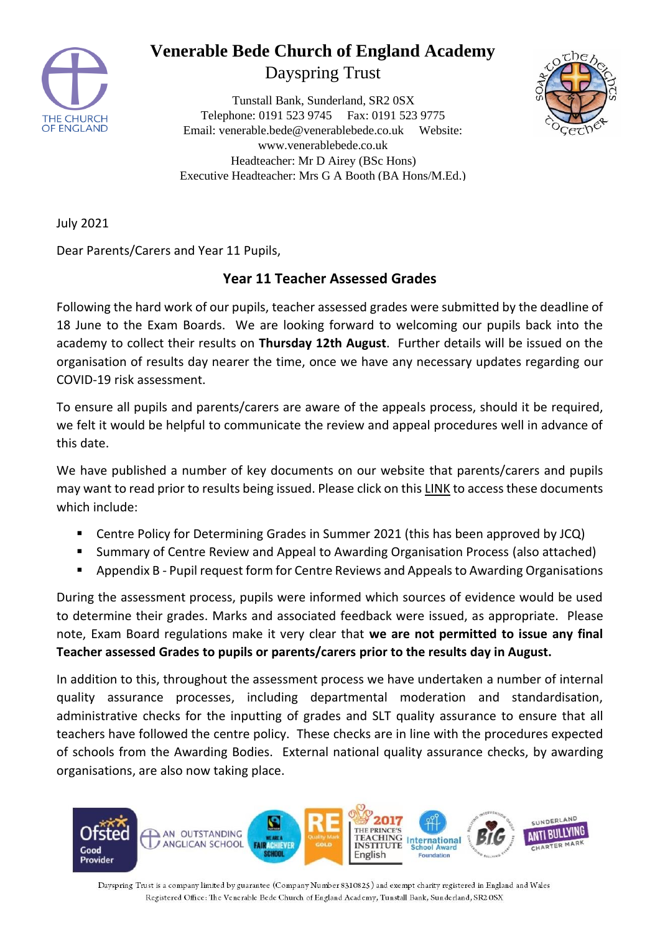

# **Venerable Bede Church of England Academy**

Dayspring Trust

Tunstall Bank, Sunderland, SR2 0SX Telephone: 0191 523 9745 Fax: 0191 523 9775 Email: venerable.bede@venerablebede.co.uk Website: www.venerablebede.co.uk Headteacher: Mr D Airey (BSc Hons) Executive Headteacher: Mrs G A Booth (BA Hons/M.Ed.)



July 2021

Dear Parents/Carers and Year 11 Pupils,

#### **Year 11 Teacher Assessed Grades**

Following the hard work of our pupils, teacher assessed grades were submitted by the deadline of 18 June to the Exam Boards. We are looking forward to welcoming our pupils back into the academy to collect their results on **Thursday 12th August**. Further details will be issued on the organisation of results day nearer the time, once we have any necessary updates regarding our COVID-19 risk assessment.

To ensure all pupils and parents/carers are aware of the appeals process, should it be required, we felt it would be helpful to communicate the review and appeal procedures well in advance of this date.

We have published a number of key documents on our website that parents/carers and pupils may want to read prior to results being issued. Please click on this [LINK](https://www.venerablebede.co.uk/key-information/exam-information/) to access these documents which include:

- Centre Policy for Determining Grades in Summer 2021 (this has been approved by JCQ)
- Summary of Centre Review and Appeal to Awarding Organisation Process (also attached)
- Appendix B Pupil request form for Centre Reviews and Appeals to Awarding Organisations

During the assessment process, pupils were informed which sources of evidence would be used to determine their grades. Marks and associated feedback were issued, as appropriate. Please note, Exam Board regulations make it very clear that **we are not permitted to issue any final Teacher assessed Grades to pupils or parents/carers prior to the results day in August.**

In addition to this, throughout the assessment process we have undertaken a number of internal quality assurance processes, including departmental moderation and standardisation, administrative checks for the inputting of grades and SLT quality assurance to ensure that all teachers have followed the centre policy. These checks are in line with the procedures expected of schools from the Awarding Bodies. External national quality assurance checks, by awarding organisations, are also now taking place.



Dayspring Trust is a company limited by guarantee (Company Number 8310825) and exempt charity registered in England and Wales Registered Office: The Venerable Bede Church of England Academy, Tunstall Bank, Sunderland, SR2 OSX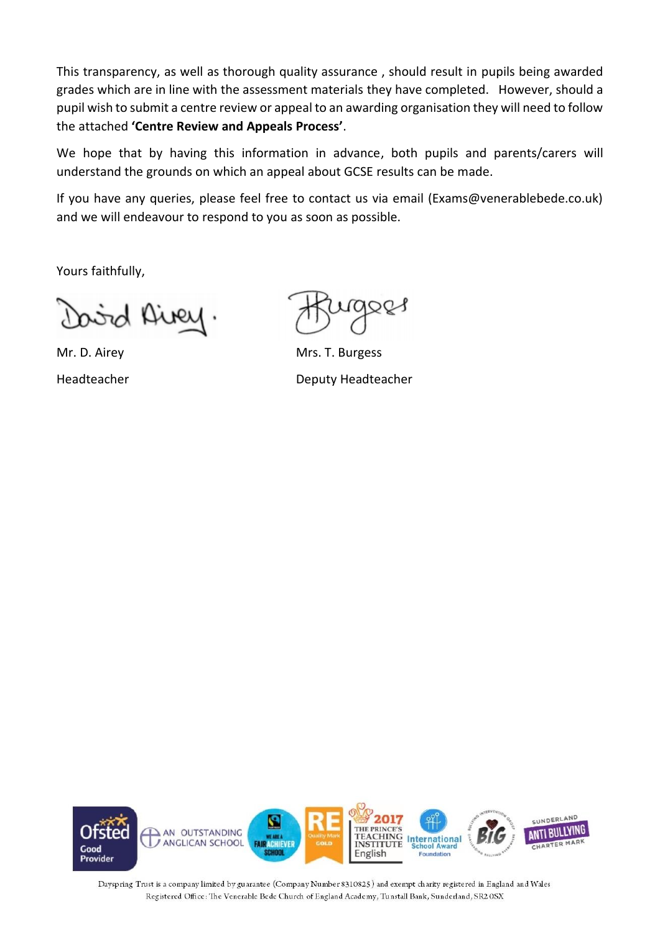This transparency, as well as thorough quality assurance , should result in pupils being awarded grades which are in line with the assessment materials they have completed. However, should a pupil wish to submit a centre review or appeal to an awarding organisation they will need to follow the attached **'Centre Review and Appeals Process'**.

We hope that by having this information in advance, both pupils and parents/carers will understand the grounds on which an appeal about GCSE results can be made.

If you have any queries, please feel free to contact us via email (Exams@venerablebede.co.uk) and we will endeavour to respond to you as soon as possible.

Yours faithfully,

bird Airey.

Mr. D. Airey **Mrs. T. Burgess** Headteacher Deputy Headteacher



Dayspring Trust is a company limited by guarantee (Company Number 8310825) and exempt charity registered in England and Wales Registered Office: The Venerable Bede Church of England Academy, Tunstall Bank, Sunderland, SR2 OSX